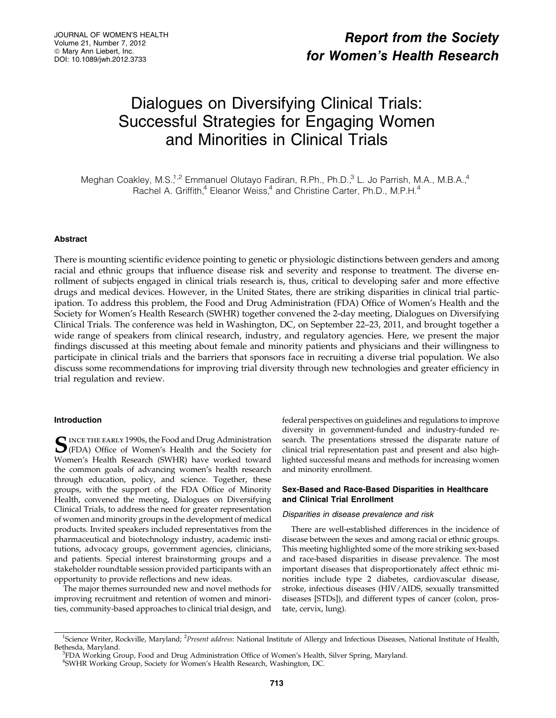## Report from the Society for Women's Health Research

# Dialogues on Diversifying Clinical Trials: Successful Strategies for Engaging Women and Minorities in Clinical Trials

Meghan Coakley, M.S.,<sup>1,2</sup> Emmanuel Olutayo Fadiran, R.Ph., Ph.D.,<sup>3</sup> L. Jo Parrish, M.A., M.B.A.,<sup>4</sup> Rachel A. Griffith,<sup>4</sup> Eleanor Weiss,<sup>4</sup> and Christine Carter, Ph.D., M.P.H.<sup>4</sup>

## Abstract

There is mounting scientific evidence pointing to genetic or physiologic distinctions between genders and among racial and ethnic groups that influence disease risk and severity and response to treatment. The diverse enrollment of subjects engaged in clinical trials research is, thus, critical to developing safer and more effective drugs and medical devices. However, in the United States, there are striking disparities in clinical trial participation. To address this problem, the Food and Drug Administration (FDA) Office of Women's Health and the Society for Women's Health Research (SWHR) together convened the 2-day meeting, Dialogues on Diversifying Clinical Trials. The conference was held in Washington, DC, on September 22–23, 2011, and brought together a wide range of speakers from clinical research, industry, and regulatory agencies. Here, we present the major findings discussed at this meeting about female and minority patients and physicians and their willingness to participate in clinical trials and the barriers that sponsors face in recruiting a diverse trial population. We also discuss some recommendations for improving trial diversity through new technologies and greater efficiency in trial regulation and review.

## Introduction

SINCE THE EARLY 1990s, the Food and Drug Administration<br>(FDA) Office of Women's Health and the Society for Women's Health Research (SWHR) have worked toward the common goals of advancing women's health research through education, policy, and science. Together, these groups, with the support of the FDA Office of Minority Health, convened the meeting, Dialogues on Diversifying Clinical Trials, to address the need for greater representation of women and minority groups in the development of medical products. Invited speakers included representatives from the pharmaceutical and biotechnology industry, academic institutions, advocacy groups, government agencies, clinicians, and patients. Special interest brainstorming groups and a stakeholder roundtable session provided participants with an opportunity to provide reflections and new ideas.

The major themes surrounded new and novel methods for improving recruitment and retention of women and minorities, community-based approaches to clinical trial design, and federal perspectives on guidelines and regulations to improve diversity in government-funded and industry-funded research. The presentations stressed the disparate nature of clinical trial representation past and present and also highlighted successful means and methods for increasing women and minority enrollment.

## Sex-Based and Race-Based Disparities in Healthcare and Clinical Trial Enrollment

#### Disparities in disease prevalence and risk

There are well-established differences in the incidence of disease between the sexes and among racial or ethnic groups. This meeting highlighted some of the more striking sex-based and race-based disparities in disease prevalence. The most important diseases that disproportionately affect ethnic minorities include type 2 diabetes, cardiovascular disease, stroke, infectious diseases (HIV/AIDS, sexually transmitted diseases [STDs]), and different types of cancer (colon, prostate, cervix, lung).

<sup>&</sup>lt;sup>1</sup>Science Writer, Rockville, Maryland; <sup>2</sup>Present address: National Institute of Allergy and Infectious Diseases, National Institute of Health, Bethesda, Maryland. <sup>3</sup>

FDA Working Group, Food and Drug Administration Office of Women's Health, Silver Spring, Maryland.

<sup>4</sup> SWHR Working Group, Society for Women's Health Research, Washington, DC.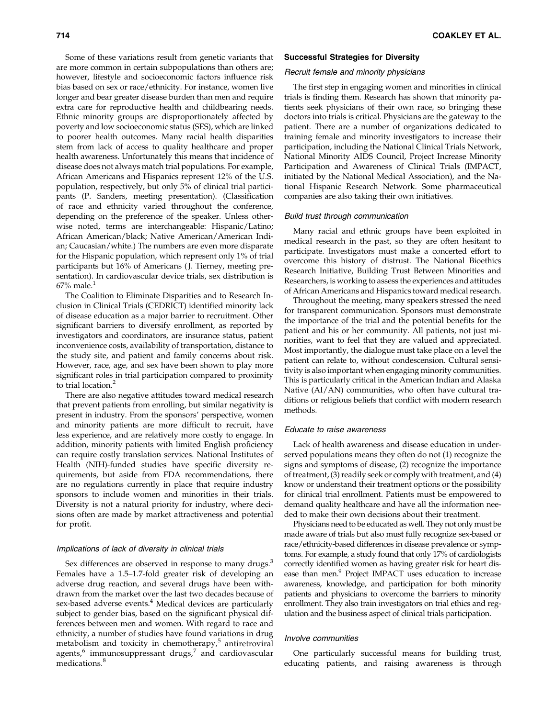Some of these variations result from genetic variants that are more common in certain subpopulations than others are; however, lifestyle and socioeconomic factors influence risk bias based on sex or race/ethnicity. For instance, women live longer and bear greater disease burden than men and require extra care for reproductive health and childbearing needs. Ethnic minority groups are disproportionately affected by poverty and low socioeconomic status (SES), which are linked to poorer health outcomes. Many racial health disparities stem from lack of access to quality healthcare and proper health awareness. Unfortunately this means that incidence of disease does not always match trial populations. For example, African Americans and Hispanics represent 12% of the U.S. population, respectively, but only 5% of clinical trial participants (P. Sanders, meeting presentation). (Classification of race and ethnicity varied throughout the conference, depending on the preference of the speaker. Unless otherwise noted, terms are interchangeable: Hispanic/Latino; African American/black; Native American/American Indian; Caucasian/white.) The numbers are even more disparate for the Hispanic population, which represent only 1% of trial participants but 16% of Americans (J. Tierney, meeting presentation). In cardiovascular device trials, sex distribution is  $67\%$  male.<sup>1</sup>

The Coalition to Eliminate Disparities and to Research Inclusion in Clinical Trials (CEDRICT) identified minority lack of disease education as a major barrier to recruitment. Other significant barriers to diversify enrollment, as reported by investigators and coordinators, are insurance status, patient inconvenience costs, availability of transportation, distance to the study site, and patient and family concerns about risk. However, race, age, and sex have been shown to play more significant roles in trial participation compared to proximity to trial location.<sup>2</sup>

There are also negative attitudes toward medical research that prevent patients from enrolling, but similar negativity is present in industry. From the sponsors' perspective, women and minority patients are more difficult to recruit, have less experience, and are relatively more costly to engage. In addition, minority patients with limited English proficiency can require costly translation services. National Institutes of Health (NIH)-funded studies have specific diversity requirements, but aside from FDA recommendations, there are no regulations currently in place that require industry sponsors to include women and minorities in their trials. Diversity is not a natural priority for industry, where decisions often are made by market attractiveness and potential for profit.

#### Implications of lack of diversity in clinical trials

Sex differences are observed in response to many drugs.<sup>3</sup> Females have a 1.5–1.7-fold greater risk of developing an adverse drug reaction, and several drugs have been withdrawn from the market over the last two decades because of sex-based adverse events.<sup>4</sup> Medical devices are particularly subject to gender bias, based on the significant physical differences between men and women. With regard to race and ethnicity, a number of studies have found variations in drug metabolism and toxicity in chemotherapy, $5$  antiretroviral agents, $6 \text{ immunosuppression}t \, drugs$ , and cardiovascular medications.<sup>8</sup>

## Successful Strategies for Diversity

#### Recruit female and minority physicians

The first step in engaging women and minorities in clinical trials is finding them. Research has shown that minority patients seek physicians of their own race, so bringing these doctors into trials is critical. Physicians are the gateway to the patient. There are a number of organizations dedicated to training female and minority investigators to increase their participation, including the National Clinical Trials Network, National Minority AIDS Council, Project Increase Minority Participation and Awareness of Clinical Trials (IMPACT, initiated by the National Medical Association), and the National Hispanic Research Network. Some pharmaceutical companies are also taking their own initiatives.

#### Build trust through communication

Many racial and ethnic groups have been exploited in medical research in the past, so they are often hesitant to participate. Investigators must make a concerted effort to overcome this history of distrust. The National Bioethics Research Initiative, Building Trust Between Minorities and Researchers, is working to assess the experiences and attitudes of African Americans and Hispanics toward medical research.

Throughout the meeting, many speakers stressed the need for transparent communication. Sponsors must demonstrate the importance of the trial and the potential benefits for the patient and his or her community. All patients, not just minorities, want to feel that they are valued and appreciated. Most importantly, the dialogue must take place on a level the patient can relate to, without condescension. Cultural sensitivity is also important when engaging minority communities. This is particularly critical in the American Indian and Alaska Native (AI/AN) communities, who often have cultural traditions or religious beliefs that conflict with modern research methods.

## Educate to raise awareness

Lack of health awareness and disease education in underserved populations means they often do not (1) recognize the signs and symptoms of disease, (2) recognize the importance of treatment, (3) readily seek or comply with treatment, and (4) know or understand their treatment options or the possibility for clinical trial enrollment. Patients must be empowered to demand quality healthcare and have all the information needed to make their own decisions about their treatment.

Physicians need to be educated as well. They not only must be made aware of trials but also must fully recognize sex-based or race/ethnicity-based differences in disease prevalence or symptoms. For example, a study found that only 17% of cardiologists correctly identified women as having greater risk for heart disease than men.<sup>9</sup> Project IMPACT uses education to increase awareness, knowledge, and participation for both minority patients and physicians to overcome the barriers to minority enrollment. They also train investigators on trial ethics and regulation and the business aspect of clinical trials participation.

#### Involve communities

One particularly successful means for building trust, educating patients, and raising awareness is through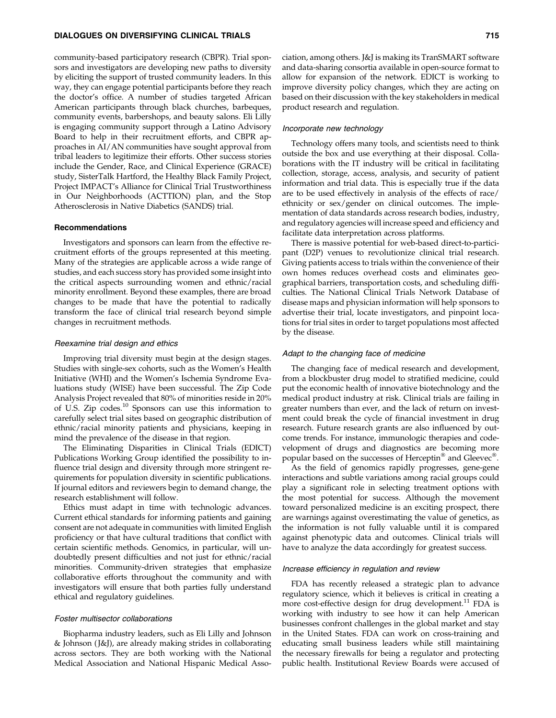## DIALOGUES ON DIVERSIFYING CLINICAL TRIALS 715

community-based participatory research (CBPR). Trial sponsors and investigators are developing new paths to diversity by eliciting the support of trusted community leaders. In this way, they can engage potential participants before they reach the doctor's office. A number of studies targeted African American participants through black churches, barbeques, community events, barbershops, and beauty salons. Eli Lilly is engaging community support through a Latino Advisory Board to help in their recruitment efforts, and CBPR approaches in AI/AN communities have sought approval from tribal leaders to legitimize their efforts. Other success stories include the Gender, Race, and Clinical Experience (GRACE) study, SisterTalk Hartford, the Healthy Black Family Project, Project IMPACT's Alliance for Clinical Trial Trustworthiness in Our Neighborhoods (ACTTION) plan, and the Stop Atherosclerosis in Native Diabetics (SANDS) trial.

#### Recommendations

Investigators and sponsors can learn from the effective recruitment efforts of the groups represented at this meeting. Many of the strategies are applicable across a wide range of studies, and each success story has provided some insight into the critical aspects surrounding women and ethnic/racial minority enrollment. Beyond these examples, there are broad changes to be made that have the potential to radically transform the face of clinical trial research beyond simple changes in recruitment methods.

#### Reexamine trial design and ethics

Improving trial diversity must begin at the design stages. Studies with single-sex cohorts, such as the Women's Health Initiative (WHI) and the Women's Ischemia Syndrome Evaluations study (WISE) have been successful. The Zip Code Analysis Project revealed that 80% of minorities reside in 20% of U.S. Zip codes.<sup>10</sup> Sponsors can use this information to carefully select trial sites based on geographic distribution of ethnic/racial minority patients and physicians, keeping in mind the prevalence of the disease in that region.

The Eliminating Disparities in Clinical Trials (EDICT) Publications Working Group identified the possibility to influence trial design and diversity through more stringent requirements for population diversity in scientific publications. If journal editors and reviewers begin to demand change, the research establishment will follow.

Ethics must adapt in time with technologic advances. Current ethical standards for informing patients and gaining consent are not adequate in communities with limited English proficiency or that have cultural traditions that conflict with certain scientific methods. Genomics, in particular, will undoubtedly present difficulties and not just for ethnic/racial minorities. Community-driven strategies that emphasize collaborative efforts throughout the community and with investigators will ensure that both parties fully understand ethical and regulatory guidelines.

## Foster multisector collaborations

Biopharma industry leaders, such as Eli Lilly and Johnson & Johnson ( J&J), are already making strides in collaborating across sectors. They are both working with the National Medical Association and National Hispanic Medical Association, among others. J&J is making its TranSMART software and data-sharing consortia available in open-source format to allow for expansion of the network. EDICT is working to improve diversity policy changes, which they are acting on based on their discussion with the key stakeholders in medical product research and regulation.

## Incorporate new technology

Technology offers many tools, and scientists need to think outside the box and use everything at their disposal. Collaborations with the IT industry will be critical in facilitating collection, storage, access, analysis, and security of patient information and trial data. This is especially true if the data are to be used effectively in analysis of the effects of race/ ethnicity or sex/gender on clinical outcomes. The implementation of data standards across research bodies, industry, and regulatory agencies will increase speed and efficiency and facilitate data interpretation across platforms.

There is massive potential for web-based direct-to-participant (D2P) venues to revolutionize clinical trial research. Giving patients access to trials within the convenience of their own homes reduces overhead costs and eliminates geographical barriers, transportation costs, and scheduling difficulties. The National Clinical Trials Network Database of disease maps and physician information will help sponsors to advertise their trial, locate investigators, and pinpoint locations for trial sites in order to target populations most affected by the disease.

#### Adapt to the changing face of medicine

The changing face of medical research and development, from a blockbuster drug model to stratified medicine, could put the economic health of innovative biotechnology and the medical product industry at risk. Clinical trials are failing in greater numbers than ever, and the lack of return on investment could break the cycle of financial investment in drug research. Future research grants are also influenced by outcome trends. For instance, immunologic therapies and codevelopment of drugs and diagnostics are becoming more popular based on the successes of Herceptin<sup>®</sup> and Gleevec<sup>®</sup>.

As the field of genomics rapidly progresses, gene-gene interactions and subtle variations among racial groups could play a significant role in selecting treatment options with the most potential for success. Although the movement toward personalized medicine is an exciting prospect, there are warnings against overestimating the value of genetics, as the information is not fully valuable until it is compared against phenotypic data and outcomes. Clinical trials will have to analyze the data accordingly for greatest success.

#### Increase efficiency in regulation and review

FDA has recently released a strategic plan to advance regulatory science, which it believes is critical in creating a more cost-effective design for drug development.<sup>11</sup> FDA is working with industry to see how it can help American businesses confront challenges in the global market and stay in the United States. FDA can work on cross-training and educating small business leaders while still maintaining the necessary firewalls for being a regulator and protecting public health. Institutional Review Boards were accused of